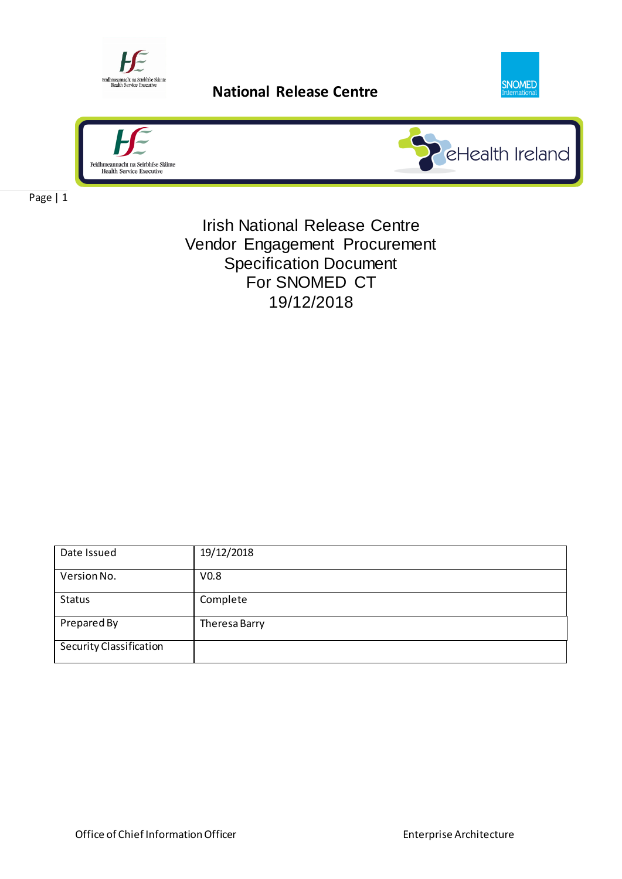

Feidmeannadu na Serithise Stänie<br>
Health Service Executive<br> **National Release Centre** 





Page | 1

Irish National Release Centre Vendor Engagement Procurement Specification Document For SNOMED CT 19/12/2018

| Date Issued             | 19/12/2018       |
|-------------------------|------------------|
| Version No.             | V <sub>0.8</sub> |
| <b>Status</b>           | Complete         |
| Prepared By             | Theresa Barry    |
| Security Classification |                  |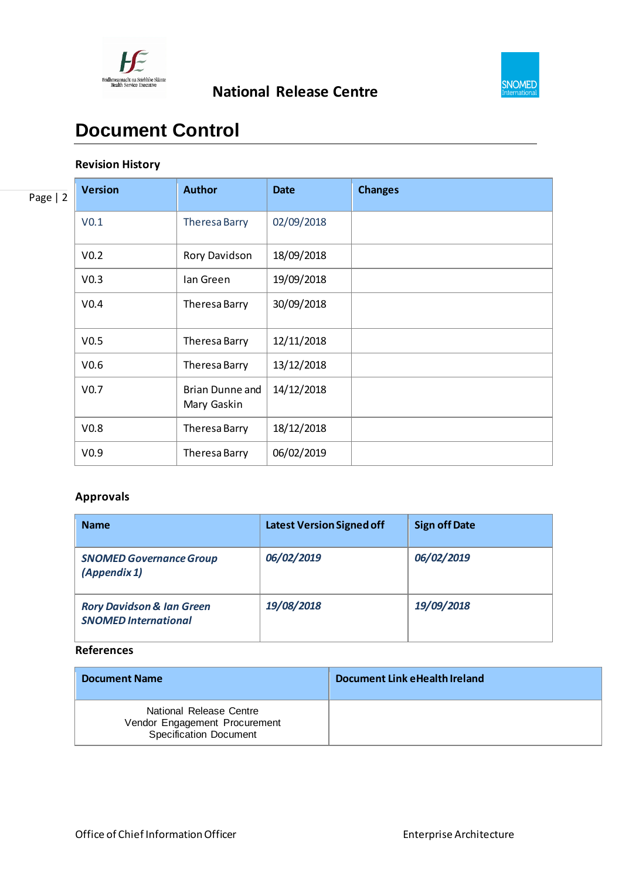



### **Document Control**

#### **Revision History**

| Page $ 2$ | <b>Version</b>   | <b>Author</b>                  | <b>Date</b> | <b>Changes</b> |
|-----------|------------------|--------------------------------|-------------|----------------|
|           | V <sub>0.1</sub> | Theresa Barry                  | 02/09/2018  |                |
|           | V <sub>0.2</sub> | Rory Davidson                  | 18/09/2018  |                |
|           | V <sub>0.3</sub> | lan Green                      | 19/09/2018  |                |
|           | V <sub>0.4</sub> | Theresa Barry                  | 30/09/2018  |                |
|           | V <sub>0.5</sub> | Theresa Barry                  | 12/11/2018  |                |
|           | V <sub>0.6</sub> | Theresa Barry                  | 13/12/2018  |                |
|           | V <sub>0.7</sub> | Brian Dunne and<br>Mary Gaskin | 14/12/2018  |                |
|           | V <sub>0.8</sub> | Theresa Barry                  | 18/12/2018  |                |
|           | V <sub>0.9</sub> | Theresa Barry                  | 06/02/2019  |                |

#### **Approvals**

| <b>Name</b>                                                         | <b>Latest Version Signed off</b> | <b>Sign off Date</b> |
|---------------------------------------------------------------------|----------------------------------|----------------------|
| <b>SNOMED Governance Group</b><br>(Appendix 1)                      | 06/02/2019                       | 06/02/2019           |
| <b>Rory Davidson &amp; Ian Green</b><br><b>SNOMED International</b> | 19/08/2018                       | 19/09/2018           |

#### **References**

| <b>Document Name</b>                                                                      | Document Link eHealth Ireland |
|-------------------------------------------------------------------------------------------|-------------------------------|
| National Release Centre<br>Vendor Engagement Procurement<br><b>Specification Document</b> |                               |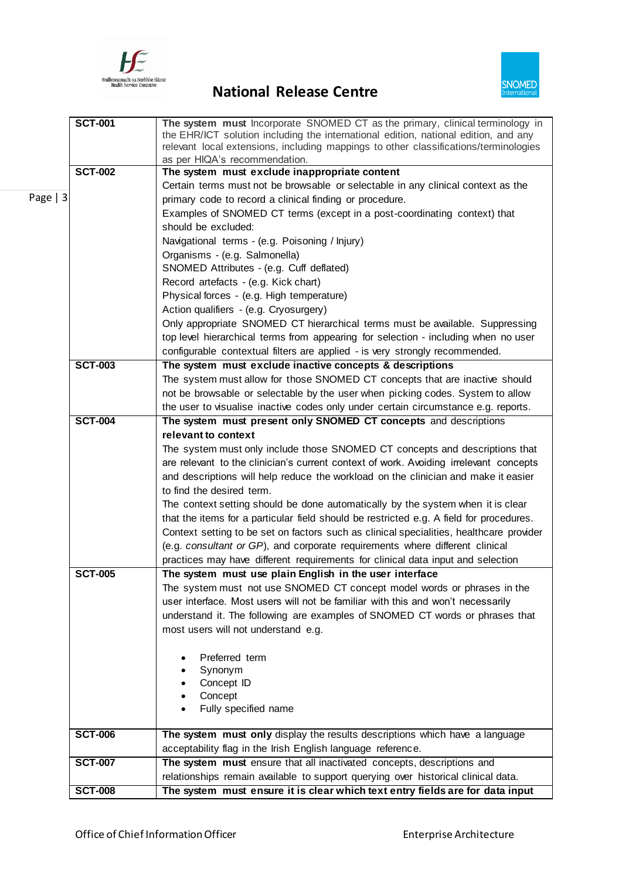

# Feighth and Service Executive<br>
Health Service Executive<br> **National Release Centre**



|           | <b>SCT-001</b> | The system must Incorporate SNOMED CT as the primary, clinical terminology in<br>the EHR/ICT solution including the international edition, national edition, and any<br>relevant local extensions, including mappings to other classifications/terminologies<br>as per HIQA's recommendation. |
|-----------|----------------|-----------------------------------------------------------------------------------------------------------------------------------------------------------------------------------------------------------------------------------------------------------------------------------------------|
|           | <b>SCT-002</b> | The system must exclude inappropriate content                                                                                                                                                                                                                                                 |
|           |                | Certain terms must not be browsable or selectable in any clinical context as the                                                                                                                                                                                                              |
| Page $ 3$ |                | primary code to record a clinical finding or procedure.                                                                                                                                                                                                                                       |
|           |                | Examples of SNOMED CT terms (except in a post-coordinating context) that                                                                                                                                                                                                                      |
|           |                | should be excluded:                                                                                                                                                                                                                                                                           |
|           |                |                                                                                                                                                                                                                                                                                               |
|           |                | Navigational terms - (e.g. Poisoning / Injury)                                                                                                                                                                                                                                                |
|           |                | Organisms - (e.g. Salmonella)                                                                                                                                                                                                                                                                 |
|           |                | SNOMED Attributes - (e.g. Cuff deflated)                                                                                                                                                                                                                                                      |
|           |                | Record artefacts - (e.g. Kick chart)                                                                                                                                                                                                                                                          |
|           |                | Physical forces - (e.g. High temperature)                                                                                                                                                                                                                                                     |
|           |                | Action qualifiers - (e.g. Cryosurgery)                                                                                                                                                                                                                                                        |
|           |                | Only appropriate SNOMED CT hierarchical terms must be available. Suppressing                                                                                                                                                                                                                  |
|           |                | top level hierarchical terms from appearing for selection - including when no user                                                                                                                                                                                                            |
|           |                | configurable contextual filters are applied - is very strongly recommended.                                                                                                                                                                                                                   |
|           | <b>SCT-003</b> | The system must exclude inactive concepts & descriptions                                                                                                                                                                                                                                      |
|           |                | The system must allow for those SNOMED CT concepts that are inactive should                                                                                                                                                                                                                   |
|           |                | not be browsable or selectable by the user when picking codes. System to allow                                                                                                                                                                                                                |
|           |                | the user to visualise inactive codes only under certain circumstance e.g. reports.                                                                                                                                                                                                            |
|           | <b>SCT-004</b> | The system must present only SNOMED CT concepts and descriptions                                                                                                                                                                                                                              |
|           |                | relevant to context                                                                                                                                                                                                                                                                           |
|           |                | The system must only include those SNOMED CT concepts and descriptions that                                                                                                                                                                                                                   |
|           |                | are relevant to the clinician's current context of work. Avoiding irrelevant concepts                                                                                                                                                                                                         |
|           |                | and descriptions will help reduce the workload on the clinician and make it easier                                                                                                                                                                                                            |
|           |                | to find the desired term.                                                                                                                                                                                                                                                                     |
|           |                | The context setting should be done automatically by the system when it is clear                                                                                                                                                                                                               |
|           |                | that the items for a particular field should be restricted e.g. A field for procedures.                                                                                                                                                                                                       |
|           |                | Context setting to be set on factors such as clinical specialities, healthcare provider                                                                                                                                                                                                       |
|           |                | (e.g. consultant or GP), and corporate requirements where different clinical                                                                                                                                                                                                                  |
|           |                | practices may have different requirements for clinical data input and selection                                                                                                                                                                                                               |
|           | <b>SCT-005</b> | The system must use plain English in the user interface                                                                                                                                                                                                                                       |
|           |                | The system must not use SNOMED CT concept model words or phrases in the                                                                                                                                                                                                                       |
|           |                | user interface. Most users will not be familiar with this and won't necessarily                                                                                                                                                                                                               |
|           |                | understand it. The following are examples of SNOMED CT words or phrases that                                                                                                                                                                                                                  |
|           |                | most users will not understand e.g.                                                                                                                                                                                                                                                           |
|           |                |                                                                                                                                                                                                                                                                                               |
|           |                | Preferred term                                                                                                                                                                                                                                                                                |
|           |                | Synonym                                                                                                                                                                                                                                                                                       |
|           |                | Concept ID                                                                                                                                                                                                                                                                                    |
|           |                | Concept                                                                                                                                                                                                                                                                                       |
|           |                | Fully specified name                                                                                                                                                                                                                                                                          |
|           |                |                                                                                                                                                                                                                                                                                               |
|           | <b>SCT-006</b> | The system must only display the results descriptions which have a language                                                                                                                                                                                                                   |
|           |                | acceptability flag in the Irish English language reference.                                                                                                                                                                                                                                   |
|           | <b>SCT-007</b> | The system must ensure that all inactivated concepts, descriptions and                                                                                                                                                                                                                        |
|           |                | relationships remain available to support querying over historical clinical data.                                                                                                                                                                                                             |
|           | <b>SCT-008</b> | The system must ensure it is clear which text entry fields are for data input                                                                                                                                                                                                                 |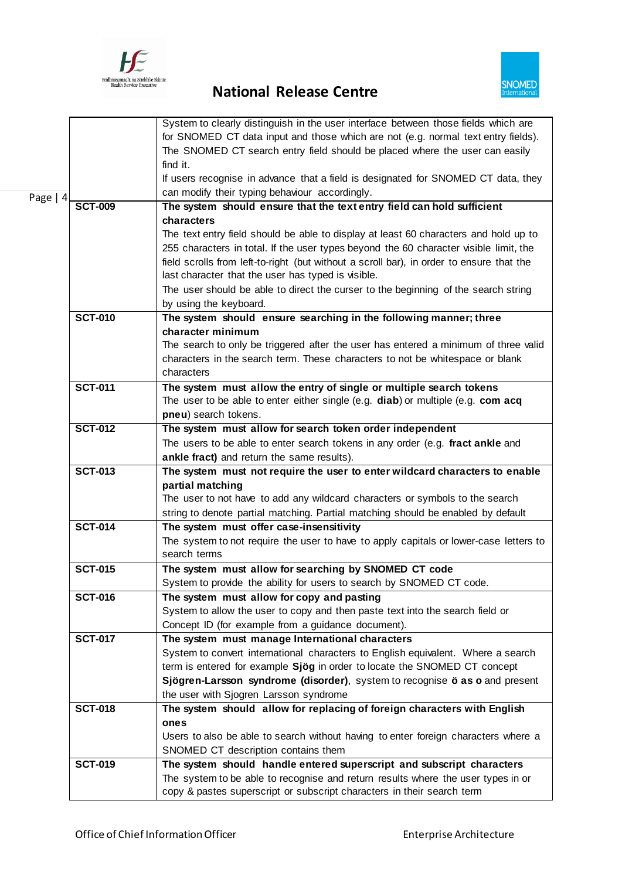

# Feighth and Service Executive<br>
Health Service Executive<br> **National Release Centre**



|            |                | System to clearly distinguish in the user interface between those fields which are                                                                      |
|------------|----------------|---------------------------------------------------------------------------------------------------------------------------------------------------------|
|            |                | for SNOMED CT data input and those which are not (e.g. normal text entry fields).                                                                       |
|            |                | The SNOMED CT search entry field should be placed where the user can easily                                                                             |
|            |                | find it.                                                                                                                                                |
|            |                | If users recognise in advance that a field is designated for SNOMED CT data, they                                                                       |
|            |                | can modify their typing behaviour accordingly.                                                                                                          |
| Page $ 4 $ | <b>SCT-009</b> | The system should ensure that the text entry field can hold sufficient                                                                                  |
|            |                | characters                                                                                                                                              |
|            |                |                                                                                                                                                         |
|            |                | The text entry field should be able to display at least 60 characters and hold up to                                                                    |
|            |                | 255 characters in total. If the user types beyond the 60 character visible limit, the                                                                   |
|            |                | field scrolls from left-to-right (but without a scroll bar), in order to ensure that the<br>last character that the user has typed is visible.          |
|            |                |                                                                                                                                                         |
|            |                | The user should be able to direct the curser to the beginning of the search string                                                                      |
|            | <b>SCT-010</b> | by using the keyboard.                                                                                                                                  |
|            |                | The system should ensure searching in the following manner; three                                                                                       |
|            |                | character minimum                                                                                                                                       |
|            |                | The search to only be triggered after the user has entered a minimum of three valid                                                                     |
|            |                | characters in the search term. These characters to not be whitespace or blank<br>characters                                                             |
|            | <b>SCT-011</b> |                                                                                                                                                         |
|            |                | The system must allow the entry of single or multiple search tokens<br>The user to be able to enter either single (e.g. diab) or multiple (e.g. com acq |
|            |                | pneu) search tokens.                                                                                                                                    |
|            | <b>SCT-012</b> | The system must allow for search token order independent                                                                                                |
|            |                | The users to be able to enter search tokens in any order (e.g. fract ankle and                                                                          |
|            |                | ankle fract) and return the same results).                                                                                                              |
|            | <b>SCT-013</b> | The system must not require the user to enter wildcard characters to enable                                                                             |
|            |                | partial matching                                                                                                                                        |
|            |                | The user to not have to add any wildcard characters or symbols to the search                                                                            |
|            |                | string to denote partial matching. Partial matching should be enabled by default                                                                        |
|            | <b>SCT-014</b> | The system must offer case-insensitivity                                                                                                                |
|            |                | The system to not require the user to have to apply capitals or lower-case letters to                                                                   |
|            |                | search terms                                                                                                                                            |
|            | <b>SCT-015</b> | The system must allow for searching by SNOMED CT code                                                                                                   |
|            |                | System to provide the ability for users to search by SNOMED CT code.                                                                                    |
|            | <b>SCT-016</b> | The system must allow for copy and pasting                                                                                                              |
|            |                | System to allow the user to copy and then paste text into the search field or                                                                           |
|            |                | Concept ID (for example from a guidance document).                                                                                                      |
|            | <b>SCT-017</b> | The system must manage International characters                                                                                                         |
|            |                | System to convert international characters to English equivalent. Where a search                                                                        |
|            |                | term is entered for example Sjög in order to locate the SNOMED CT concept                                                                               |
|            |                | Sjögren-Larsson syndrome (disorder), system to recognise ö as o and present                                                                             |
|            |                | the user with Sjogren Larsson syndrome                                                                                                                  |
|            | <b>SCT-018</b> | The system should allow for replacing of foreign characters with English                                                                                |
|            |                | ones                                                                                                                                                    |
|            |                | Users to also be able to search without having to enter foreign characters where a                                                                      |
|            |                | SNOMED CT description contains them                                                                                                                     |
|            | <b>SCT-019</b> | The system should handle entered superscript and subscript characters                                                                                   |
|            |                | The system to be able to recognise and return results where the user types in or                                                                        |
|            |                | copy & pastes superscript or subscript characters in their search term                                                                                  |
|            |                |                                                                                                                                                         |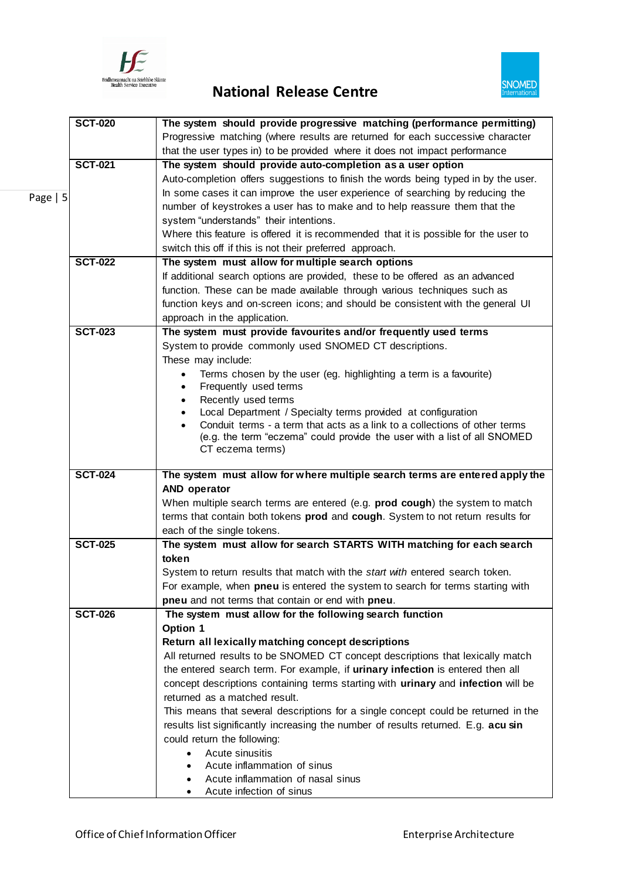

# Feidhmeannacht na Seithtise Stäme<br>
Rational Release Centre



|          | <b>SCT-020</b> | The system should provide progressive matching (performance permitting)             |
|----------|----------------|-------------------------------------------------------------------------------------|
|          |                | Progressive matching (where results are returned for each successive character      |
|          |                | that the user types in) to be provided where it does not impact performance         |
|          | <b>SCT-021</b> | The system should provide auto-completion as a user option                          |
|          |                | Auto-completion offers suggestions to finish the words being typed in by the user.  |
|          |                | In some cases it can improve the user experience of searching by reducing the       |
| Page   5 |                | number of keystrokes a user has to make and to help reassure them that the          |
|          |                | system "understands" their intentions.                                              |
|          |                | Where this feature is offered it is recommended that it is possible for the user to |
|          |                | switch this off if this is not their preferred approach.                            |
|          | <b>SCT-022</b> | The system must allow for multiple search options                                   |
|          |                |                                                                                     |
|          |                | If additional search options are provided, these to be offered as an advanced       |
|          |                | function. These can be made available through various techniques such as            |
|          |                | function keys and on-screen icons; and should be consistent with the general UI     |
|          |                | approach in the application.                                                        |
|          | <b>SCT-023</b> | The system must provide favourites and/or frequently used terms                     |
|          |                | System to provide commonly used SNOMED CT descriptions.                             |
|          |                | These may include:                                                                  |
|          |                | Terms chosen by the user (eg. highlighting a term is a favourite)<br>$\bullet$      |
|          |                | Frequently used terms<br>$\bullet$                                                  |
|          |                | Recently used terms<br>$\bullet$                                                    |
|          |                | Local Department / Specialty terms provided at configuration<br>$\bullet$           |
|          |                | Conduit terms - a term that acts as a link to a collections of other terms          |
|          |                | (e.g. the term "eczema" could provide the user with a list of all SNOMED            |
|          |                | CT eczema terms)                                                                    |
|          | <b>SCT-024</b> | The system must allow for where multiple search terms are entered apply the         |
|          |                | <b>AND operator</b>                                                                 |
|          |                | When multiple search terms are entered (e.g. prod cough) the system to match        |
|          |                | terms that contain both tokens prod and cough. System to not return results for     |
|          |                |                                                                                     |
|          |                |                                                                                     |
|          |                | each of the single tokens.                                                          |
|          | <b>SCT-025</b> | The system must allow for search STARTS WITH matching for each search               |
|          |                | token                                                                               |
|          |                | System to return results that match with the start with entered search token.       |
|          |                | For example, when pneu is entered the system to search for terms starting with      |
|          |                | pneu and not terms that contain or end with pneu.                                   |
|          | <b>SCT-026</b> | The system must allow for the following search function                             |
|          |                | Option 1                                                                            |
|          |                | Return all lexically matching concept descriptions                                  |
|          |                | All returned results to be SNOMED CT concept descriptions that lexically match      |
|          |                | the entered search term. For example, if urinary infection is entered then all      |
|          |                | concept descriptions containing terms starting with urinary and infection will be   |
|          |                | returned as a matched result.                                                       |
|          |                | This means that several descriptions for a single concept could be returned in the  |
|          |                | results list significantly increasing the number of results returned. E.g. acu sin  |
|          |                | could return the following:                                                         |
|          |                | Acute sinusitis                                                                     |
|          |                | Acute inflammation of sinus                                                         |
|          |                | Acute inflammation of nasal sinus                                                   |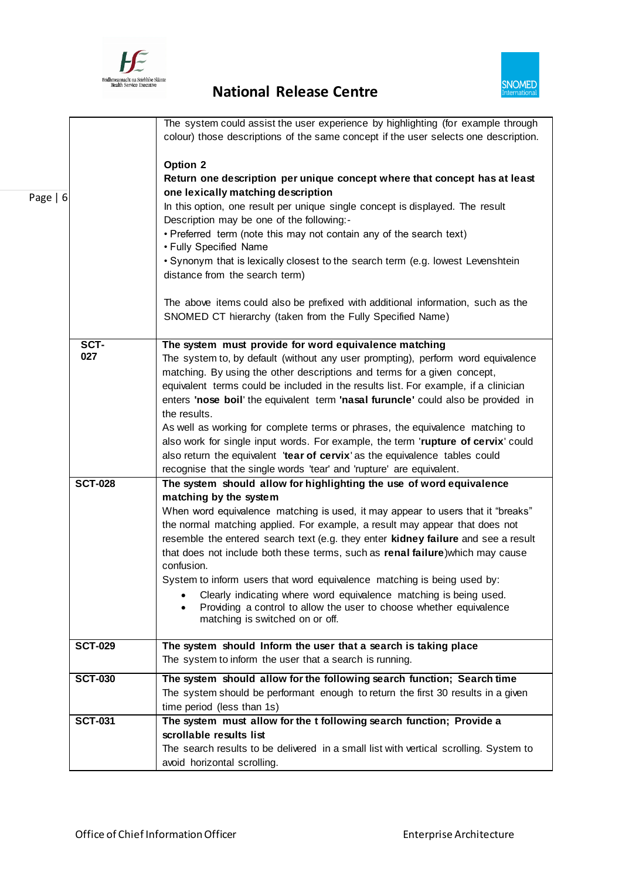



|            |                | The system could assist the user experience by highlighting (for example through<br>colour) those descriptions of the same concept if the user selects one description. |
|------------|----------------|-------------------------------------------------------------------------------------------------------------------------------------------------------------------------|
|            |                | Option 2<br>Return one description per unique concept where that concept has at least                                                                                   |
| Page $  6$ |                | one lexically matching description<br>In this option, one result per unique single concept is displayed. The result<br>Description may be one of the following:-        |
|            |                | • Preferred term (note this may not contain any of the search text)<br>• Fully Specified Name                                                                           |
|            |                | • Synonym that is lexically closest to the search term (e.g. lowest Levenshtein<br>distance from the search term)                                                       |
|            |                | The above items could also be prefixed with additional information, such as the<br>SNOMED CT hierarchy (taken from the Fully Specified Name)                            |
|            | SCT-           | The system must provide for word equivalence matching                                                                                                                   |
|            | 027            | The system to, by default (without any user prompting), perform word equivalence                                                                                        |
|            |                | matching. By using the other descriptions and terms for a given concept,                                                                                                |
|            |                | equivalent terms could be included in the results list. For example, if a clinician                                                                                     |
|            |                | enters 'nose boil' the equivalent term 'nasal furuncle' could also be provided in                                                                                       |
|            |                | the results.                                                                                                                                                            |
|            |                | As well as working for complete terms or phrases, the equivalence matching to                                                                                           |
|            |                | also work for single input words. For example, the term 'rupture of cervix' could                                                                                       |
|            |                | also return the equivalent 'tear of cervix' as the equivalence tables could                                                                                             |
|            |                | recognise that the single words 'tear' and 'rupture' are equivalent.                                                                                                    |
|            | <b>SCT-028</b> | The system should allow for highlighting the use of word equivalence<br>matching by the system                                                                          |
|            |                | When word equivalence matching is used, it may appear to users that it "breaks"                                                                                         |
|            |                | the normal matching applied. For example, a result may appear that does not                                                                                             |
|            |                | resemble the entered search text (e.g. they enter kidney failure and see a result                                                                                       |
|            |                | that does not include both these terms, such as renal failure) which may cause                                                                                          |
|            |                | confusion.                                                                                                                                                              |
|            |                | System to inform users that word equivalence matching is being used by:                                                                                                 |
|            |                | Clearly indicating where word equivalence matching is being used.                                                                                                       |
|            |                | Providing a control to allow the user to choose whether equivalence                                                                                                     |
|            |                | matching is switched on or off.                                                                                                                                         |
|            | <b>SCT-029</b> | The system should Inform the user that a search is taking place                                                                                                         |
|            |                | The system to inform the user that a search is running.                                                                                                                 |
|            |                |                                                                                                                                                                         |
|            | <b>SCT-030</b> | The system should allow for the following search function; Search time                                                                                                  |
|            |                | The system should be performant enough to return the first 30 results in a given                                                                                        |
|            |                | time period (less than 1s)                                                                                                                                              |
|            | <b>SCT-031</b> | The system must allow for the t following search function; Provide a                                                                                                    |
|            |                | scrollable results list                                                                                                                                                 |
|            |                | The search results to be delivered in a small list with vertical scrolling. System to                                                                                   |
|            |                | avoid horizontal scrolling.                                                                                                                                             |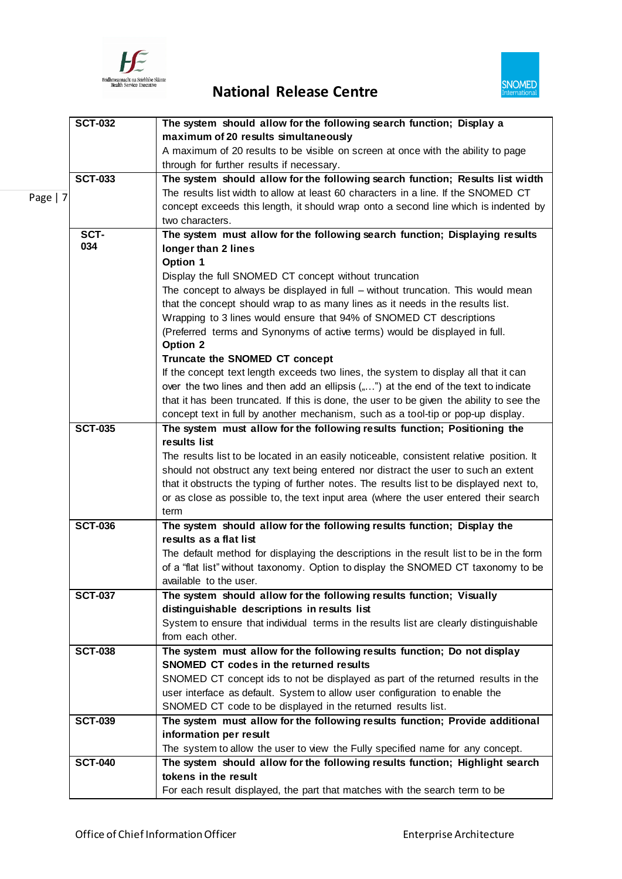

## Feidhmeannacht na Seithtise Stäme<br>
Rational Release Centre



|          | <b>SCT-032</b> | The system should allow for the following search function; Display a                                       |
|----------|----------------|------------------------------------------------------------------------------------------------------------|
|          |                | maximum of 20 results simultaneously                                                                       |
|          |                | A maximum of 20 results to be visible on screen at once with the ability to page                           |
|          |                | through for further results if necessary.                                                                  |
|          | <b>SCT-033</b> | The system should allow for the following search function; Results list width                              |
| Page   7 |                | The results list width to allow at least 60 characters in a line. If the SNOMED CT                         |
|          |                | concept exceeds this length, it should wrap onto a second line which is indented by                        |
|          |                | two characters.                                                                                            |
|          | SCT-           | The system must allow for the following search function; Displaying results                                |
|          | 034            | longer than 2 lines                                                                                        |
|          |                | Option 1                                                                                                   |
|          |                | Display the full SNOMED CT concept without truncation                                                      |
|          |                | The concept to always be displayed in full – without truncation. This would mean                           |
|          |                | that the concept should wrap to as many lines as it needs in the results list.                             |
|          |                | Wrapping to 3 lines would ensure that 94% of SNOMED CT descriptions                                        |
|          |                | (Preferred terms and Synonyms of active terms) would be displayed in full.                                 |
|          |                | Option 2                                                                                                   |
|          |                | Truncate the SNOMED CT concept                                                                             |
|          |                | If the concept text length exceeds two lines, the system to display all that it can                        |
|          |                | over the two lines and then add an ellipsis ("") at the end of the text to indicate                        |
|          |                | that it has been truncated. If this is done, the user to be given the ability to see the                   |
|          |                | concept text in full by another mechanism, such as a tool-tip or pop-up display.                           |
|          | <b>SCT-035</b> | The system must allow for the following results function; Positioning the                                  |
|          |                | results list                                                                                               |
|          |                | The results list to be located in an easily noticeable, consistent relative position. It                   |
|          |                | should not obstruct any text being entered nor distract the user to such an extent                         |
|          |                | that it obstructs the typing of further notes. The results list to be displayed next to,                   |
|          |                | or as close as possible to, the text input area (where the user entered their search                       |
|          |                | term                                                                                                       |
|          | <b>SCT-036</b> | The system should allow for the following results function; Display the                                    |
|          |                | results as a flat list                                                                                     |
|          |                | The default method for displaying the descriptions in the result list to be in the form                    |
|          |                | of a "flat list" without taxonomy. Option to display the SNOMED CT taxonomy to be                          |
|          |                | available to the user.                                                                                     |
|          | <b>SCT-037</b> | The system should allow for the following results function; Visually                                       |
|          |                | distinguishable descriptions in results list                                                               |
|          |                | System to ensure that individual terms in the results list are clearly distinguishable<br>from each other. |
|          | <b>SCT-038</b> | The system must allow for the following results function; Do not display                                   |
|          |                | SNOMED CT codes in the returned results                                                                    |
|          |                | SNOMED CT concept ids to not be displayed as part of the returned results in the                           |
|          |                | user interface as default. System to allow user configuration to enable the                                |
|          |                | SNOMED CT code to be displayed in the returned results list.                                               |
|          | <b>SCT-039</b> | The system must allow for the following results function; Provide additional                               |
|          |                | information per result                                                                                     |
|          |                | The system to allow the user to view the Fully specified name for any concept.                             |
|          | <b>SCT-040</b> | The system should allow for the following results function; Highlight search                               |
|          |                | tokens in the result                                                                                       |
|          |                | For each result displayed, the part that matches with the search term to be                                |
|          |                |                                                                                                            |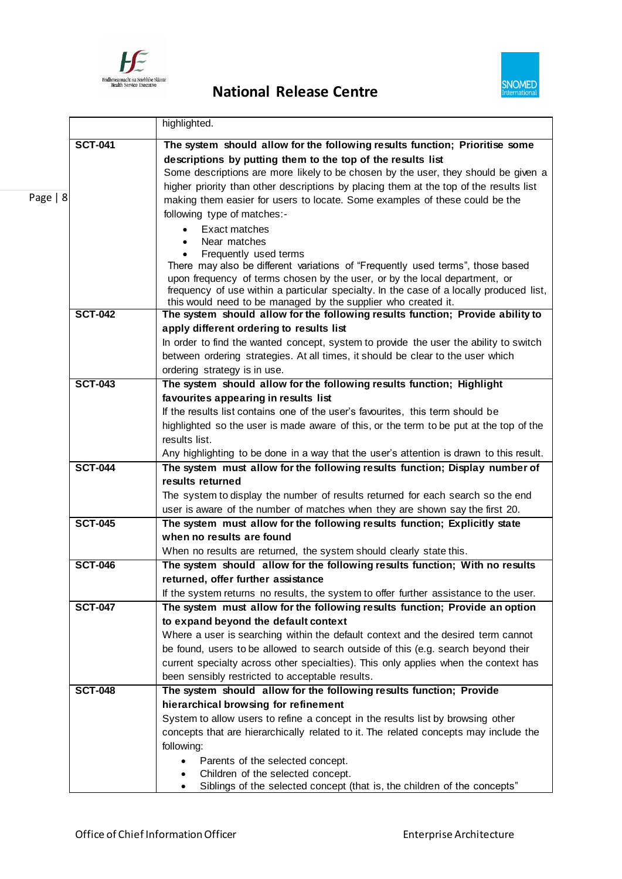

# Fédihmeannacht na Seirthise Sláine<br> **National Release Centre**



|          |                | highlighted.                                                                                                                                                          |
|----------|----------------|-----------------------------------------------------------------------------------------------------------------------------------------------------------------------|
|          | <b>SCT-041</b> | The system should allow for the following results function; Prioritise some                                                                                           |
|          |                | descriptions by putting them to the top of the results list                                                                                                           |
|          |                | Some descriptions are more likely to be chosen by the user, they should be given a                                                                                    |
|          |                | higher priority than other descriptions by placing them at the top of the results list                                                                                |
| Page   8 |                | making them easier for users to locate. Some examples of these could be the                                                                                           |
|          |                | following type of matches:-                                                                                                                                           |
|          |                | Exact matches<br>$\bullet$                                                                                                                                            |
|          |                | Near matches<br>$\bullet$                                                                                                                                             |
|          |                | Frequently used terms<br>$\bullet$                                                                                                                                    |
|          |                | There may also be different variations of "Frequently used terms", those based                                                                                        |
|          |                | upon frequency of terms chosen by the user, or by the local department, or<br>frequency of use within a particular specialty. In the case of a locally produced list, |
|          |                | this would need to be managed by the supplier who created it.                                                                                                         |
|          | <b>SCT-042</b> | The system should allow for the following results function; Provide ability to                                                                                        |
|          |                | apply different ordering to results list                                                                                                                              |
|          |                | In order to find the wanted concept, system to provide the user the ability to switch                                                                                 |
|          |                | between ordering strategies. At all times, it should be clear to the user which                                                                                       |
|          |                | ordering strategy is in use.                                                                                                                                          |
|          | <b>SCT-043</b> | The system should allow for the following results function; Highlight                                                                                                 |
|          |                | favourites appearing in results list                                                                                                                                  |
|          |                | If the results list contains one of the user's favourites, this term should be                                                                                        |
|          |                | highlighted so the user is made aware of this, or the term to be put at the top of the                                                                                |
|          |                | results list.<br>Any highlighting to be done in a way that the user's attention is drawn to this result.                                                              |
|          | <b>SCT-044</b> | The system must allow for the following results function; Display number of                                                                                           |
|          |                | results returned                                                                                                                                                      |
|          |                | The system to display the number of results returned for each search so the end                                                                                       |
|          |                | user is aware of the number of matches when they are shown say the first 20.                                                                                          |
|          | <b>SCT-045</b> | The system must allow for the following results function; Explicitly state                                                                                            |
|          |                | when no results are found                                                                                                                                             |
|          |                | When no results are returned, the system should clearly state this.                                                                                                   |
|          | <b>SCT-046</b> | The system should allow for the following results function; With no results                                                                                           |
|          |                | returned, offer further assistance                                                                                                                                    |
|          |                | If the system returns no results, the system to offer further assistance to the user.                                                                                 |
|          | <b>SCT-047</b> | The system must allow for the following results function; Provide an option                                                                                           |
|          |                | to expand beyond the default context                                                                                                                                  |
|          |                | Where a user is searching within the default context and the desired term cannot                                                                                      |
|          |                | be found, users to be allowed to search outside of this (e.g. search beyond their                                                                                     |
|          |                | current specialty across other specialties). This only applies when the context has                                                                                   |
|          | <b>SCT-048</b> | been sensibly restricted to acceptable results.<br>The system should allow for the following results function; Provide                                                |
|          |                | hierarchical browsing for refinement                                                                                                                                  |
|          |                | System to allow users to refine a concept in the results list by browsing other                                                                                       |
|          |                | concepts that are hierarchically related to it. The related concepts may include the                                                                                  |
|          |                | following:                                                                                                                                                            |
|          |                | Parents of the selected concept.<br>$\bullet$                                                                                                                         |
|          |                | Children of the selected concept.                                                                                                                                     |
|          |                | Siblings of the selected concept (that is, the children of the concepts"                                                                                              |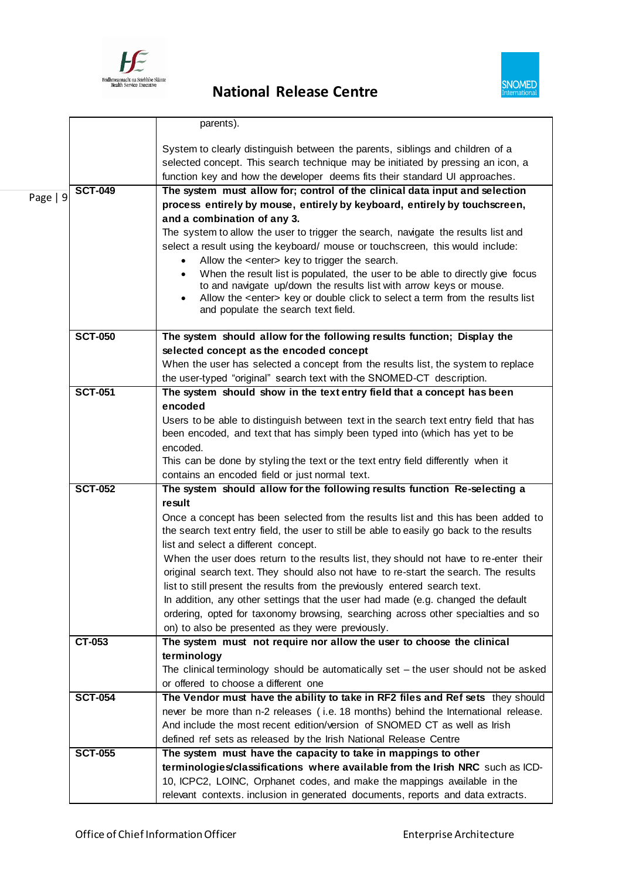



|          |                | parents).                                                                                                                                                                                                                                       |
|----------|----------------|-------------------------------------------------------------------------------------------------------------------------------------------------------------------------------------------------------------------------------------------------|
|          |                | System to clearly distinguish between the parents, siblings and children of a<br>selected concept. This search technique may be initiated by pressing an icon, a<br>function key and how the developer deems fits their standard UI approaches. |
| Page   9 | <b>SCT-049</b> | The system must allow for; control of the clinical data input and selection                                                                                                                                                                     |
|          |                | process entirely by mouse, entirely by keyboard, entirely by touchscreen,                                                                                                                                                                       |
|          |                | and a combination of any 3.                                                                                                                                                                                                                     |
|          |                | The system to allow the user to trigger the search, navigate the results list and                                                                                                                                                               |
|          |                | select a result using the keyboard/ mouse or touchscreen, this would include:                                                                                                                                                                   |
|          |                | Allow the <enter> key to trigger the search.</enter>                                                                                                                                                                                            |
|          |                | When the result list is populated, the user to be able to directly give focus                                                                                                                                                                   |
|          |                | to and navigate up/down the results list with arrow keys or mouse.<br>Allow the <enter> key or double click to select a term from the results list</enter>                                                                                      |
|          |                | and populate the search text field.                                                                                                                                                                                                             |
|          | <b>SCT-050</b> | The system should allow for the following results function; Display the                                                                                                                                                                         |
|          |                | selected concept as the encoded concept                                                                                                                                                                                                         |
|          |                | When the user has selected a concept from the results list, the system to replace                                                                                                                                                               |
|          | <b>SCT-051</b> | the user-typed "original" search text with the SNOMED-CT description.<br>The system should show in the text entry field that a concept has been                                                                                                 |
|          |                | encoded                                                                                                                                                                                                                                         |
|          |                | Users to be able to distinguish between text in the search text entry field that has                                                                                                                                                            |
|          |                | been encoded, and text that has simply been typed into (which has yet to be                                                                                                                                                                     |
|          |                | encoded.                                                                                                                                                                                                                                        |
|          |                | This can be done by styling the text or the text entry field differently when it                                                                                                                                                                |
|          |                | contains an encoded field or just normal text.                                                                                                                                                                                                  |
|          | <b>SCT-052</b> | The system should allow for the following results function Re-selecting a                                                                                                                                                                       |
|          |                | result                                                                                                                                                                                                                                          |
|          |                | Once a concept has been selected from the results list and this has been added to                                                                                                                                                               |
|          |                | the search text entry field, the user to still be able to easily go back to the results                                                                                                                                                         |
|          |                | list and select a different concept.                                                                                                                                                                                                            |
|          |                | When the user does return to the results list, they should not have to re-enter their                                                                                                                                                           |
|          |                | original search text. They should also not have to re-start the search. The results                                                                                                                                                             |
|          |                | list to still present the results from the previously entered search text.                                                                                                                                                                      |
|          |                | In addition, any other settings that the user had made (e.g. changed the default                                                                                                                                                                |
|          |                | ordering, opted for taxonomy browsing, searching across other specialties and so                                                                                                                                                                |
|          |                | on) to also be presented as they were previously.                                                                                                                                                                                               |
|          | CT-053         | The system must not require nor allow the user to choose the clinical<br>terminology                                                                                                                                                            |
|          |                | The clinical terminology should be automatically set $-$ the user should not be asked                                                                                                                                                           |
|          |                | or offered to choose a different one                                                                                                                                                                                                            |
|          | <b>SCT-054</b> | The Vendor must have the ability to take in RF2 files and Ref sets they should                                                                                                                                                                  |
|          |                | never be more than n-2 releases (i.e. 18 months) behind the International release.                                                                                                                                                              |
|          |                | And include the most recent edition/version of SNOMED CT as well as Irish                                                                                                                                                                       |
|          |                | defined ref sets as released by the Irish National Release Centre                                                                                                                                                                               |
|          | <b>SCT-055</b> | The system must have the capacity to take in mappings to other                                                                                                                                                                                  |
|          |                | terminologies/classifications where available from the Irish NRC such as ICD-                                                                                                                                                                   |
|          |                | 10, ICPC2, LOINC, Orphanet codes, and make the mappings available in the                                                                                                                                                                        |
|          |                | relevant contexts. inclusion in generated documents, reports and data extracts.                                                                                                                                                                 |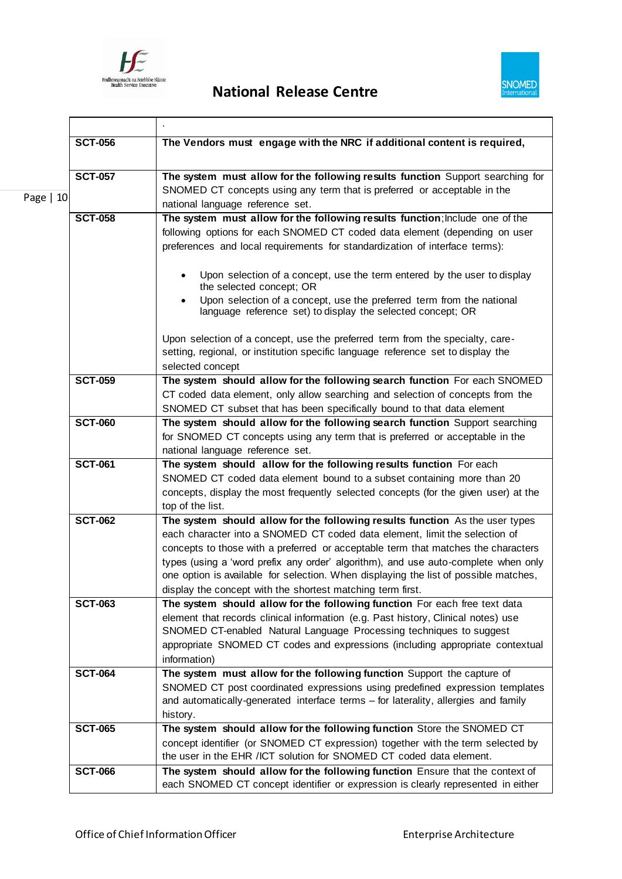

 $\mathbf{r}$ 



ī

|           | <b>SCT-056</b> | The Vendors must engage with the NRC if additional content is required,                                                              |
|-----------|----------------|--------------------------------------------------------------------------------------------------------------------------------------|
|           |                |                                                                                                                                      |
|           | <b>SCT-057</b> | The system must allow for the following results function Support searching for                                                       |
|           |                | SNOMED CT concepts using any term that is preferred or acceptable in the                                                             |
| Page   10 |                | national language reference set.                                                                                                     |
|           | <b>SCT-058</b> | The system must allow for the following results function; Include one of the                                                         |
|           |                | following options for each SNOMED CT coded data element (depending on user                                                           |
|           |                | preferences and local requirements for standardization of interface terms):                                                          |
|           |                | Upon selection of a concept, use the term entered by the user to display<br>$\bullet$<br>the selected concept; OR                    |
|           |                | Upon selection of a concept, use the preferred term from the national<br>language reference set) to display the selected concept; OR |
|           |                | Upon selection of a concept, use the preferred term from the specialty, care-                                                        |
|           |                | setting, regional, or institution specific language reference set to display the                                                     |
|           |                | selected concept                                                                                                                     |
|           | <b>SCT-059</b> | The system should allow for the following search function For each SNOMED                                                            |
|           |                | CT coded data element, only allow searching and selection of concepts from the                                                       |
|           |                | SNOMED CT subset that has been specifically bound to that data element                                                               |
|           | <b>SCT-060</b> | The system should allow for the following search function Support searching                                                          |
|           |                | for SNOMED CT concepts using any term that is preferred or acceptable in the                                                         |
|           |                | national language reference set.                                                                                                     |
|           | <b>SCT-061</b> | The system should allow for the following results function For each                                                                  |
|           |                | SNOMED CT coded data element bound to a subset containing more than 20                                                               |
|           |                | concepts, display the most frequently selected concepts (for the given user) at the<br>top of the list.                              |
|           | <b>SCT-062</b> | The system should allow for the following results function As the user types                                                         |
|           |                | each character into a SNOMED CT coded data element, limit the selection of                                                           |
|           |                | concepts to those with a preferred or acceptable term that matches the characters                                                    |
|           |                | types (using a 'word prefix any order' algorithm), and use auto-complete when only                                                   |
|           |                | one option is available for selection. When displaying the list of possible matches,                                                 |
|           |                | display the concept with the shortest matching term first.                                                                           |
|           | <b>SCT-063</b> | The system should allow for the following function For each free text data                                                           |
|           |                | element that records clinical information (e.g. Past history, Clinical notes) use                                                    |
|           |                | SNOMED CT-enabled Natural Language Processing techniques to suggest                                                                  |
|           |                | appropriate SNOMED CT codes and expressions (including appropriate contextual                                                        |
|           |                | information)                                                                                                                         |
|           | <b>SCT-064</b> | The system must allow for the following function Support the capture of                                                              |
|           |                | SNOMED CT post coordinated expressions using predefined expression templates                                                         |
|           |                | and automatically-generated interface terms - for laterality, allergies and family                                                   |
|           | <b>SCT-065</b> | history.<br>The system should allow for the following function Store the SNOMED CT                                                   |
|           |                | concept identifier (or SNOMED CT expression) together with the term selected by                                                      |
|           |                | the user in the EHR /ICT solution for SNOMED CT coded data element.                                                                  |
|           | <b>SCT-066</b> | The system should allow for the following function Ensure that the context of                                                        |
|           |                | each SNOMED CT concept identifier or expression is clearly represented in either                                                     |